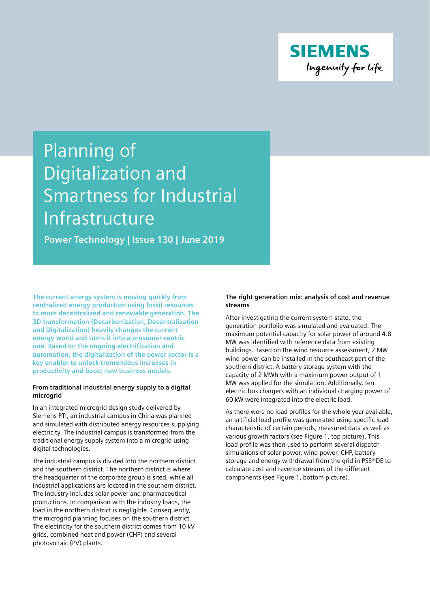

# Planning of Digitalization and Smartness for Industrial Infrastructure

**Power Technology | Issue 130 | June 2019** 

**The current energy system is moving quickly from centralized energy production using fossil resources to more decentralized and renewable generation. The 3D transformation (Decarbonization, Decentralization and Digitalization) heavily changes the current energy world and turns it into a prosumer-centric one. Based on the ongoing electrification and automation, the digitalization of the power sector is a key enabler to unlock tremendous increases in productivity and boost new business models.** 

# **From traditional industrial energy supply to a digital microgrid**

In an integrated microgrid design study delivered by Siemens PTI, an industrial campus in China was planned and simulated with distributed energy resources supplying electricity. The industrial campus is transformed from the traditional energy supply system into a microgrid using digital technologies.

The industrial campus is divided into the northern district and the southern district. The northern district is where the headquarter of the corporate group is sited, while all industrial applications are located in the southern district. The industry includes solar power and pharmaceutical productions. In comparison with the industry loads, the load in the northern district is negligible. Consequently, the microgrid planning focuses on the southern district. The electricity for the southern district comes from 10 kV grids, combined heat and power (CHP) and several photovoltaic (PV) plants.

# **The right generation mix: analysis of cost and revenue streams**

After investigating the current system state, the generation portfolio was simulated and evaluated. The maximum potential capacity for solar power of around 4.8 MW was identified with reference data from existing buildings. Based on the wind resource assessment, 2 MW wind power can be installed in the southeast part of the southern district. A battery storage system with the capacity of 2 MWh with a maximum power output of 1 MW was applied for the simulation. Additionally, ten electric bus chargers with an individual charging power of 60 kW were integrated into the electric load.

As there were no load profiles for the whole year available, an artificial load profile was generated using specific load characteristic of certain periods, measured data as well as various growth factors (see Figure 1, top picture). This load profile was then used to perform several dispatch simulations of solar power, wind power, CHP, battery storage and energy withdrawal from the grid in PSS®DE to calculate cost and revenue streams of the different components (see Figure 1, bottom picture).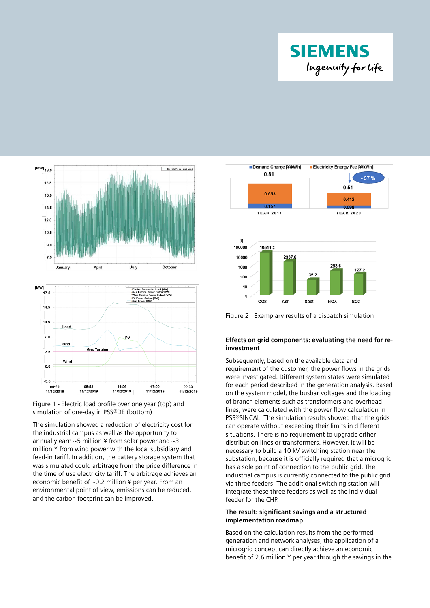





The simulation showed a reduction of electricity cost for the industrial campus as well as the opportunity to annually earn  $\sim$ 5 million ¥ from solar power and  $\sim$ 3 million ¥ from wind power with the local subsidiary and feed-in tariff. In addition, the battery storage system that was simulated could arbitrage from the price difference in the time of use electricity tariff. The arbitrage achieves an economic benefit of ~0.2 million ¥ per year. From an environmental point of view, emissions can be reduced, and the carbon footprint can be improved.



# **Effects on grid components: evaluating the need for reinvestment**

Subsequently, based on the available data and requirement of the customer, the power flows in the grids were investigated. Different system states were simulated for each period described in the generation analysis. Based on the system model, the busbar voltages and the loading of branch elements such as transformers and overhead lines, were calculated with the power flow calculation in PSS®SINCAL. The simulation results showed that the grids can operate without exceeding their limits in different situations. There is no requirement to upgrade either distribution lines or transformers. However, it will be necessary to build a 10 kV switching station near the substation, because it is officially required that a microgrid has a sole point of connection to the public grid. The industrial campus is currently connected to the public grid via three feeders. The additional switching station will integrate these three feeders as well as the individual feeder for the CHP.

# **The result: significant savings and a structured implementation roadmap**

Based on the calculation results from the performed generation and network analyses, the application of a microgrid concept can directly achieve an economic benefit of 2.6 million ¥ per year through the savings in the